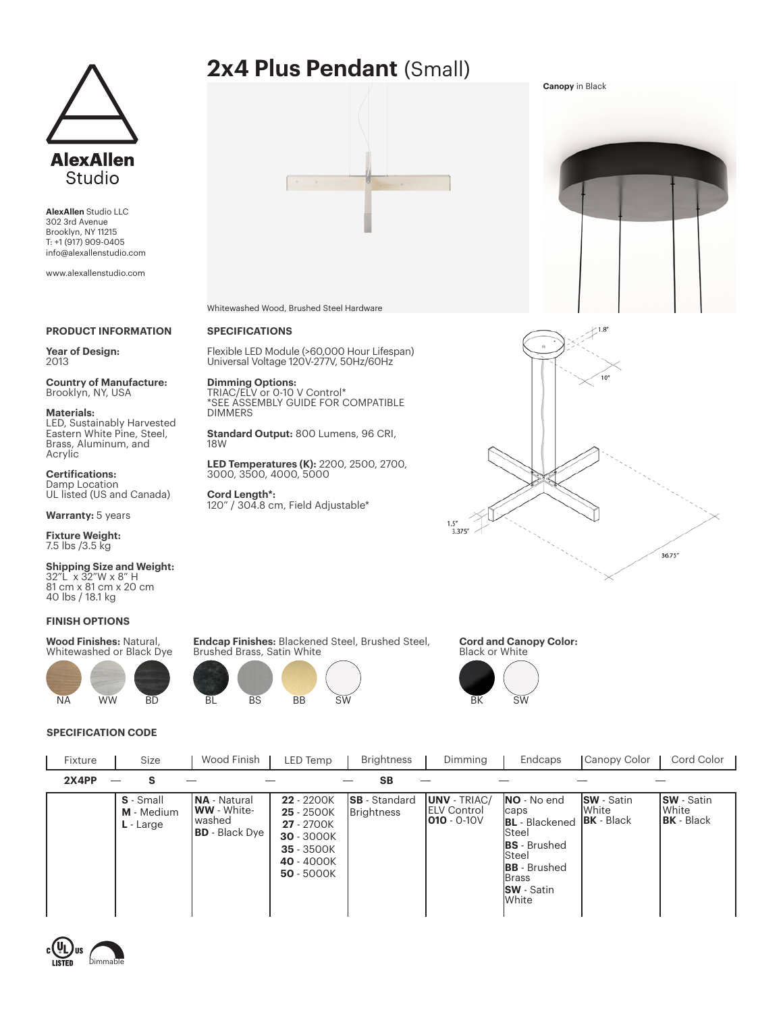

**AlexAllen** Studio LLC 302 3rd Avenue Brooklyn, NY 11215 T: +1 (917) 909-0405 info@alexallenstudio.com

www.alexallenstudio.com

# **PRODUCT INFORMATION**

**Year of Design:** 2013

**Country of Manufacture:**  Brooklyn, NY, USA

**Materials:** 

LED, Sustainably Harvested Eastern White Pine, Steel, Brass, Aluminum, and Acrylic

**Certifications:** Damp Location UL listed (US and Canada)

**Warranty:** 5 years

**Fixture Weight:**  7.5 lbs /3.5 kg

**Shipping Size and Weight:** 32"L x 32"W x 8" H 81 cm x 81 cm x 20 cm 40 lbs / 18.1 kg

#### **FINISH OPTIONS**

**Wood Finishes:** Natural, Whitewashed or Black Dye



# **SPECIFICATION CODE**





Whitewashed Wood, Brushed Steel Hardware

# **SPECIFICATIONS**

Flexible LED Module (>60,000 Hour Lifespan) Universal Voltage 120V-277V, 50Hz/60Hz

**Dimming Options:** TRIAC/ELV or 0-10 V Control\* \*SEE ASSEMBLY GUIDE FOR COMPATIBLE DIMMERS

**Standard Output:** 800 Lumens, 96 CRI, 18W

**LED Temperatures (K):** 2200, 2500, 2700, 3000, 3500, 4000, 5000

**Cord Length\*:**  120" / 304.8 cm, Field Adjustable\*





**Endcap Finishes:** Blackened Steel, Brushed Steel, Brushed Brass, Satin White



**Cord and Canopy Color:** Black or White



**S** - Small **M** - Medium **L** - Large **22** - 2200K **25** - 2500K **27** - 2700K **30** - 3000K **35** - 3500K **40** - 4000K **50** - 5000K **SB** - Standard **Brightness UNV** - TRIAC/ ELV Control **010** - 0-10V **NO** - No end caps **BL** - Blackened Steel **BS** - Brushed Steel **BB** - Brushed Brass **SW** - Satin White **SW** - Satin White **BK** - Black **NA** - Natural **WW** - Whitewashed **BD** - Black Dye **SW** - Satin White **BK** - Black Fixture | Size | Wood Finish | LED Temp | Brightness | Dimming | Endcaps | Canopy Color | Cord Color **2X4PP S SB**

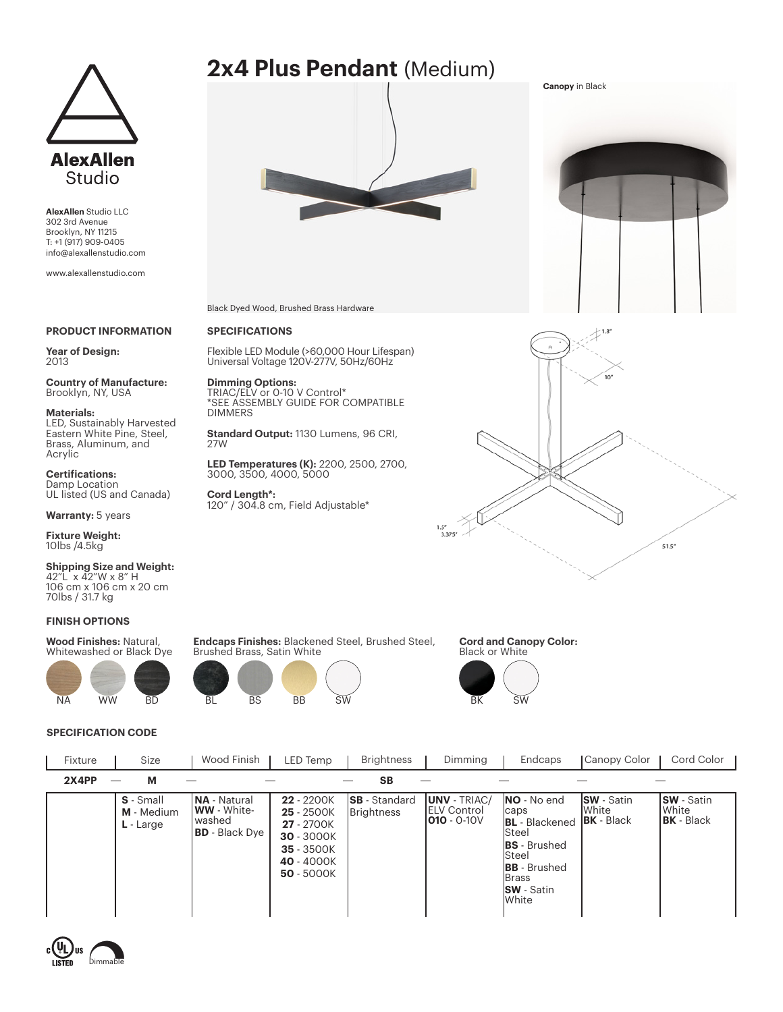

**AlexAllen** Studio LLC 302 3rd Avenue Brooklyn, NY 11215 T: +1 (917) 909-0405 info@alexallenstudio.com

www.alexallenstudio.com

# **PRODUCT INFORMATION**

**Year of Design:** 2013

**Country of Manufacture:**  Brooklyn, NY, USA

**Materials:** 

LED, Sustainably Harvested Eastern White Pine, Steel, Brass, Aluminum, and Acrylic

**Certifications:** Damp Location UL listed (US and Canada)

**Warranty:** 5 years

**Fixture Weight:**  10lbs /4.5kg

**Shipping Size and Weight:** 42"L x 42"W x 8" H 106 cm x 106 cm x 20 cm 70lbs / 31.7 kg

# **FINISH OPTIONS**

**Wood Finishes:** Natural, Whitewashed or Black Dye



# **SPECIFICATION CODE**



Black Dyed Wood, Brushed Brass Hardware

# **SPECIFICATIONS**

Flexible LED Module (>60,000 Hour Lifespan) Universal Voltage 120V-277V, 50Hz/60Hz

**Dimming Options:** TRIAC/ELV or 0-10 V Control\* \*SEE ASSEMBLY GUIDE FOR COMPATIBLE DIMMERS

**Standard Output:** 1130 Lumens, 96 CRI, 27W

**LED Temperatures (K):** 2200, 2500, 2700, 3000, 3500, 4000, 5000

**Cord Length\*:**  120" / 304.8 cm, Field Adjustable\*



**Canopy** in Black



**Endcaps Finishes:** Blackened Steel, Brushed Steel, Brushed Brass, Satin White



**Cord and Canopy Color:** Black or White



**S** - Small **M** - Medium **L** - Large **22** - 2200K **25** - 2500K **27** - 2700K **30** - 3000K **35** - 3500K **40** - 4000K **50** - 5000K **SB** - Standard **Brightness UNV** - TRIAC/ ELV Control **010** - 0-10V **NO** - No end caps **BL** - Blackened Steel **BS** - Brushed Steel **BB** - Brushed Brass **SW** - Satin White **SW** - Satin White **BK** - Black **NA** - Natural **WW** - Whitewashed **BD** - Black Dye **SW** - Satin White **BK** - Black Fixture | Size | Wood Finish | LED Temp | Brightness | Dimming | Endcaps | Canopy Color | Cord Color **2X4PP M SB**